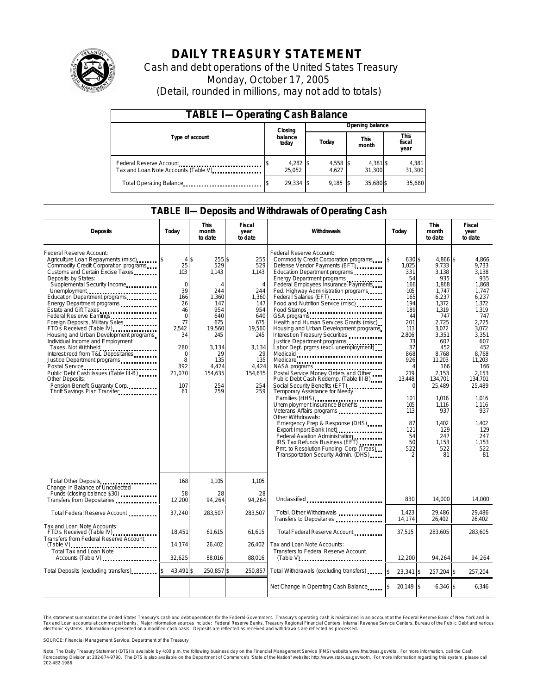

# **DAILY TREASURY STATEMENT**

Cash and debt operations of the United States Treasury Monday, October 17, 2005 (Detail, rounded in millions, may not add to totals)

| <b>TABLE I-Operating Cash Balance</b>                           |  |                    |  |                   |  |                      |  |                        |
|-----------------------------------------------------------------|--|--------------------|--|-------------------|--|----------------------|--|------------------------|
|                                                                 |  | Closing            |  | Opening balance   |  |                      |  |                        |
| Type of account                                                 |  | balance<br>today   |  | Today             |  | <b>This</b><br>month |  | This<br>fiscal<br>year |
| Federal Reserve Account<br>Tax and Loan Note Accounts (Table V) |  | 4,282 \$<br>25.052 |  | 4,558 \$<br>4.627 |  | 4,381 \$<br>31,300   |  | 4,381<br>31,300        |
| Total Operating Balance                                         |  | 29.334 \$          |  | 9,185             |  | 35,680 \$            |  | 35,680                 |

### **TABLE II—Deposits and Withdrawals of Operating Cash**

| <b>Deposits</b>                                                                                                                                                                                                                                                                                                                                                                                                                                                                                                                                                                                                                                                                                                       | Today                                                                                                                                                    | <b>This</b><br>month<br>to date                                                                                                                        | <b>Fiscal</b><br>year<br>to date                                                                                                                           | Withdrawals                                                                                                                                                                                                                                                                                                                                                                                                                                                                                                                                                                                                                                                                                                                                                                                                                                                                                                                                                                                                                             | Today                                                                                                                                                                                                                                   | <b>This</b><br>month<br>to date                                                                                                                                                                                                                                 | <b>Fiscal</b><br>year<br>to date                                                                                                                                                                                                                             |
|-----------------------------------------------------------------------------------------------------------------------------------------------------------------------------------------------------------------------------------------------------------------------------------------------------------------------------------------------------------------------------------------------------------------------------------------------------------------------------------------------------------------------------------------------------------------------------------------------------------------------------------------------------------------------------------------------------------------------|----------------------------------------------------------------------------------------------------------------------------------------------------------|--------------------------------------------------------------------------------------------------------------------------------------------------------|------------------------------------------------------------------------------------------------------------------------------------------------------------|-----------------------------------------------------------------------------------------------------------------------------------------------------------------------------------------------------------------------------------------------------------------------------------------------------------------------------------------------------------------------------------------------------------------------------------------------------------------------------------------------------------------------------------------------------------------------------------------------------------------------------------------------------------------------------------------------------------------------------------------------------------------------------------------------------------------------------------------------------------------------------------------------------------------------------------------------------------------------------------------------------------------------------------------|-----------------------------------------------------------------------------------------------------------------------------------------------------------------------------------------------------------------------------------------|-----------------------------------------------------------------------------------------------------------------------------------------------------------------------------------------------------------------------------------------------------------------|--------------------------------------------------------------------------------------------------------------------------------------------------------------------------------------------------------------------------------------------------------------|
| Federal Reserve Account:<br>Agriculture Loan Repayments (misc) [5]<br>Commodity Credit Corporation programs<br>Customs and Certain Excise Taxes<br>Deposits by States:<br>Supplemental Security Income<br>Unemployment<br>Education Department programs<br>Energy Department programs<br>Estate and Gift Taxes<br>Federal Res erve Earnings<br>Foreign Deposits, Military Sales<br>FTD's Received (Table IV)<br>Housing and Urban Development programs<br>Individual Income and Employment<br>Taxes, Not Withheld<br>Interest recd from T&L Depositaries<br>Justice Department programs<br>Public Debt Cash Issues (Table III-B)<br>Other Deposits:<br>Pension Benefit Guaranty Corp.<br>Thrift Savings Plan Transfer | $4$ \$<br>25<br>103<br>$\mathbf 0$<br>39<br>166<br>26<br>46<br>$\mathbf 0$<br>77<br>2.542<br>34<br>280<br>$\mathbf 0$<br>8<br>392<br>21,070<br>107<br>61 | 255\$<br>529<br>1,143<br>$\Delta$<br>244<br>1,360<br>147<br>954<br>640<br>675<br>19,560<br>245<br>3.134<br>29<br>135<br>4.424<br>154,635<br>254<br>259 | 255<br>529<br>1,143<br>$\overline{4}$<br>244<br>1,360<br>147<br>954<br>640<br>675<br>19,560<br>245<br>3.134<br>29<br>135<br>4.424<br>154,635<br>254<br>259 | Federal Reserve Account:<br>Commodity Credit Corporation programs<br>Defense Vendor Payments (EFT)<br>Education Department programs<br>Energy Department programs<br>Federal Employees Insurance Payments<br>Fed. Highway Administration programs<br>Federal Salaries (EFT)<br>Food and Nutrition Service (misc)<br>Food Stamps<br>GSA programs<br>Health and Human Services Grants (misc)<br>Housing and Urban Development programs<br>Interest on Treasury Securities<br>Justice Department programs<br>Labor Dept. prgms (excl. unemployment)<br>Medicaid<br>Medicare<br>Postal Service Money Orders and Other<br>Public Debt Cash Redemp. (Table III-B)<br>Social Security Benefits (EFT)<br>Temporary Assistance for Needy<br>Families (HHS)<br><br>Unem ployment Insurance Benefits<br>Veterans Affairs programs<br>Other Withdrawals:<br>Emergency Prep & Response (DHS)<br>Federal Aviation Administration<br>IRS Tax Refunds Business (EFT)<br>Pmt. to Resolution Funding Corp (Treas)<br>Transportation Security Admin. (DHS) | \$<br>630 \$<br>1,025<br>331<br>54<br>166<br>105<br>165<br>194<br>189<br>44<br>201<br>113<br>2.806<br>73<br>37<br>868<br>926<br>$\overline{4}$<br>219<br>13.448<br><sup>0</sup><br>101<br>105<br>113<br>87<br>$-121$<br>54<br>50<br>522 | 4,866 \$<br>9,733<br>3,138<br>935<br>1,868<br>1.747<br>6,237<br>1.372<br>1,319<br>747<br>2.725<br>3,072<br>3,351<br>607<br>452<br>8.768<br>11,203<br>166<br>2,153<br>134.701<br>25.489<br>1.016<br>1,116<br>937<br>1.402<br>$-129$<br>247<br>1.153<br>522<br>81 | 4,866<br>9,733<br>3,138<br>935<br>1,868<br>1.747<br>6.237<br>1.372<br>1.319<br>747<br>2.725<br>3,072<br>3.351<br>607<br>452<br>8.768<br>11,203<br>166<br>2.153<br>134.701<br>25,489<br>1.016<br>1,116<br>937<br>1.402<br>$-129$<br>247<br>1.153<br>522<br>81 |
| Total Other Deposits<br>Change in Balance of Uncollected                                                                                                                                                                                                                                                                                                                                                                                                                                                                                                                                                                                                                                                              | 168                                                                                                                                                      | 1,105                                                                                                                                                  | 1,105                                                                                                                                                      |                                                                                                                                                                                                                                                                                                                                                                                                                                                                                                                                                                                                                                                                                                                                                                                                                                                                                                                                                                                                                                         |                                                                                                                                                                                                                                         |                                                                                                                                                                                                                                                                 |                                                                                                                                                                                                                                                              |
| Funds (closing balance \$30)<br>Transfers from Depositaries                                                                                                                                                                                                                                                                                                                                                                                                                                                                                                                                                                                                                                                           | 58<br>12,200                                                                                                                                             | 28<br>94.264                                                                                                                                           | 28<br>94.264                                                                                                                                               | Unclassified                                                                                                                                                                                                                                                                                                                                                                                                                                                                                                                                                                                                                                                                                                                                                                                                                                                                                                                                                                                                                            | 830                                                                                                                                                                                                                                     | 14.000                                                                                                                                                                                                                                                          | 14,000                                                                                                                                                                                                                                                       |
| Total Federal Reserve Account                                                                                                                                                                                                                                                                                                                                                                                                                                                                                                                                                                                                                                                                                         | 37,240                                                                                                                                                   | 283,507                                                                                                                                                | 283,507                                                                                                                                                    | Total, Other Withdrawals<br>Transfers to Depositaries                                                                                                                                                                                                                                                                                                                                                                                                                                                                                                                                                                                                                                                                                                                                                                                                                                                                                                                                                                                   | 1,423<br>14,174                                                                                                                                                                                                                         | 29,486<br>26,402                                                                                                                                                                                                                                                | 29.486<br>26,402                                                                                                                                                                                                                                             |
| Tax and Loan Note Accounts:<br>FTD's Received (Table IV)<br>Transfers from Federal Reserve Account                                                                                                                                                                                                                                                                                                                                                                                                                                                                                                                                                                                                                    | 18,451                                                                                                                                                   | 61,615                                                                                                                                                 | 61,615                                                                                                                                                     | Total Federal Reserve Account                                                                                                                                                                                                                                                                                                                                                                                                                                                                                                                                                                                                                                                                                                                                                                                                                                                                                                                                                                                                           | 37,515                                                                                                                                                                                                                                  | 283,605                                                                                                                                                                                                                                                         | 283,605                                                                                                                                                                                                                                                      |
| <b>Total Tax and Loan Note</b><br>Accounts (Table V)                                                                                                                                                                                                                                                                                                                                                                                                                                                                                                                                                                                                                                                                  | 14,174<br>32.625                                                                                                                                         | 26,402<br>88.016                                                                                                                                       | 26,402<br>88,016                                                                                                                                           | Tax and Loan Note Accounts:<br>Transfers to Federal Reserve Account                                                                                                                                                                                                                                                                                                                                                                                                                                                                                                                                                                                                                                                                                                                                                                                                                                                                                                                                                                     | 12.200                                                                                                                                                                                                                                  | 94.264                                                                                                                                                                                                                                                          | 94.264                                                                                                                                                                                                                                                       |
| Total Deposits (excluding transfers)                                                                                                                                                                                                                                                                                                                                                                                                                                                                                                                                                                                                                                                                                  | 43,491 \$                                                                                                                                                | 250,857 \$                                                                                                                                             | 250,857                                                                                                                                                    | Total Withdrawals (excluding transfers)                                                                                                                                                                                                                                                                                                                                                                                                                                                                                                                                                                                                                                                                                                                                                                                                                                                                                                                                                                                                 | \$<br>$23,341$ \$                                                                                                                                                                                                                       | 257,204 \$                                                                                                                                                                                                                                                      | 257,204                                                                                                                                                                                                                                                      |
|                                                                                                                                                                                                                                                                                                                                                                                                                                                                                                                                                                                                                                                                                                                       |                                                                                                                                                          |                                                                                                                                                        |                                                                                                                                                            | Net Change in Operating Cash Balance                                                                                                                                                                                                                                                                                                                                                                                                                                                                                                                                                                                                                                                                                                                                                                                                                                                                                                                                                                                                    | 20,149 \$                                                                                                                                                                                                                               | $6.346$ \$                                                                                                                                                                                                                                                      | $-6,346$                                                                                                                                                                                                                                                     |

This statement summarizes the United States Treasury's cash and debt operations for the Federal Government. Treasury's operating cash is maintained in an account at the Federal Reserve Bank of New York and in Tax and Loan accounts at commercial banks. Major information sources include: Federal Reserve Banks, Treasury Regional Financial Centers, Internal Revenue Service Centers, Bureau of the Public Debt and various<br>electronic s

SOURCE: Financial Management Service, Department of the Treasury

Note: The Daily Treasury Statement (DTS) is available by 4:00 p.m. the following business day on the Financial Management Service (FMS) website www.fms.treas.gov/dts.<br>Forecasting Division at 202-874-9790. The DTS is also a 'S) is available by 4:00 p.m. the following business day on the Financial Management Service (FMS) website www.fms.treas.gov/dts. For more information, call the Cash<br>The DTS is also available on the Department of Commerce'